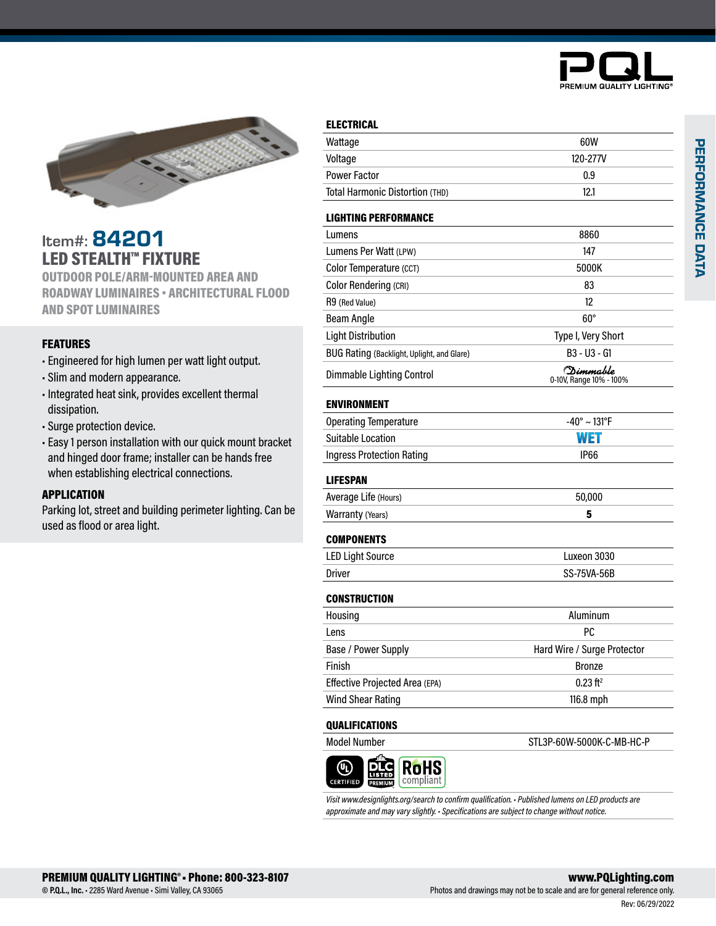



## Item#: 84201 LED STEALTH™ FIXTURE

OUTDOOR POLE/ARM-MOUNTED AREA AND ROADWAY LUMINAIRES • ARCHITECTURAL FLOOD AND SPOT LUMINAIRES

## FEATURES

- Engineered for high lumen per watt light output.
- Slim and modern appearance.
- Integrated heat sink, provides excellent thermal dissipation.
- Surge protection device.
- Easy 1 person installation with our quick mount bracket and hinged door frame; installer can be hands free when establishing electrical connections.

### APPLICATION

Parking lot, street and building perimeter lighting. Can be used as flood or area light.

### ELECTRICAL

| Wattage                                    | 60W                                           |
|--------------------------------------------|-----------------------------------------------|
| Voltage                                    | 120-277V                                      |
| <b>Power Factor</b>                        | 0.9                                           |
| Total Harmonic Distortion (THD)            | 12.1                                          |
| <b>LIGHTING PERFORMANCE</b>                |                                               |
| Lumens                                     | 8860                                          |
| Lumens Per Watt (LPW)                      | 147                                           |
| Color Temperature (CCT)                    | 5000K                                         |
| <b>Color Rendering (CRI)</b>               | 83                                            |
| R9 (Red Value)                             | 12                                            |
| <b>Beam Angle</b>                          | $60^\circ$                                    |
| <b>Light Distribution</b>                  | Type I, Very Short                            |
| BUG Rating (Backlight, Uplight, and Glare) | B3 - U3 - G1                                  |
| Dimmable Lighting Control                  | (D <i>imma</i> ble<br>0-10V, Range 10% - 100% |
| <b>ENVIRONMENT</b>                         |                                               |
| <b>Operating Temperature</b>               | $-40^{\circ} \sim 131^{\circ}F$               |
| <b>Suitable Location</b>                   | WET                                           |
| <b>Ingress Protection Rating</b>           | <b>IP66</b>                                   |
| <b>LIFESPAN</b>                            |                                               |
| Average Life (Hours)                       | 50,000                                        |
| <b>Warranty (Years)</b>                    | 5                                             |
| <b>COMPONENTS</b>                          |                                               |
| <b>LED Light Source</b>                    | Luxeon 3030                                   |
| <b>Driver</b>                              | SS-75VA-56B                                   |
| <b>CONSTRUCTION</b>                        |                                               |
| Housing                                    | Aluminum                                      |
| Lens                                       | PC                                            |
| Base / Power Supply                        | Hard Wire / Surge Protector                   |
| Finish                                     | <b>Bronze</b>                                 |
| Effective Projected Area (EPA)             | $0.23$ ft <sup>2</sup>                        |
| <b>Wind Shear Rating</b>                   | 116.8 mph                                     |
| <b>QUALIFICATIONS</b>                      |                                               |
| <b>Model Number</b>                        | STL3P-60W-5000K-C-MB-HC-P                     |
|                                            |                                               |

*Visit www.designlights.org/search to confirm qualification. • Published lumens on LED products are approximate and may vary slightly. • Specifications are subject to change without notice.*

oHS

**CERTIFIE**